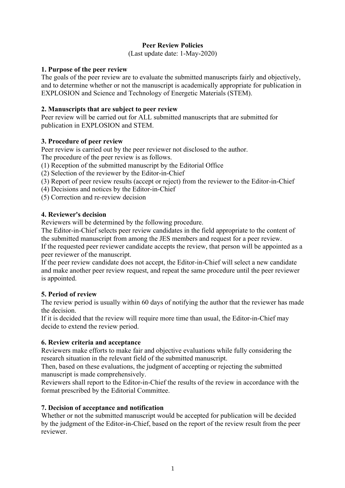# **Peer Review Policies**

(Last update date: 1-May-2020)

### **1. Purpose of the peer review**

The goals of the peer review are to evaluate the submitted manuscripts fairly and objectively, and to determine whether or not the manuscript is academically appropriate for publication in EXPLOSION and Science and Technology of Energetic Materials (STEM).

## **2. Manuscripts that are subject to peer review**

Peer review will be carried out for ALL submitted manuscripts that are submitted for publication in EXPLOSION and STEM.

### **3. Procedure of peer review**

Peer review is carried out by the peer reviewer not disclosed to the author. The procedure of the peer review is as follows.

(1) Reception of the submitted manuscript by the Editorial Office

(2) Selection of the reviewer by the Editor-in-Chief

- (3) Report of peer review results (accept or reject) from the reviewer to the Editor-in-Chief
- (4) Decisions and notices by the Editor-in-Chief

(5) Correction and re-review decision

#### **4. Reviewer's decision**

Reviewers will be determined by the following procedure.

The Editor-in-Chief selects peer review candidates in the field appropriate to the content of the submitted manuscript from among the JES members and request for a peer review. If the requested peer reviewer candidate accepts the review, that person will be appointed as a peer reviewer of the manuscript.

If the peer review candidate does not accept, the Editor-in-Chief will select a new candidate and make another peer review request, and repeat the same procedure until the peer reviewer is appointed.

#### **5. Period of review**

The review period is usually within 60 days of notifying the author that the reviewer has made the decision.

If it is decided that the review will require more time than usual, the Editor-in-Chief may decide to extend the review period.

#### **6. Review criteria and acceptance**

Reviewers make efforts to make fair and objective evaluations while fully considering the research situation in the relevant field of the submitted manuscript.

Then, based on these evaluations, the judgment of accepting or rejecting the submitted manuscript is made comprehensively.

Reviewers shall report to the Editor-in-Chief the results of the review in accordance with the format prescribed by the Editorial Committee.

#### **7. Decision of acceptance and notification**

Whether or not the submitted manuscript would be accepted for publication will be decided by the judgment of the Editor-in-Chief, based on the report of the review result from the peer reviewer.